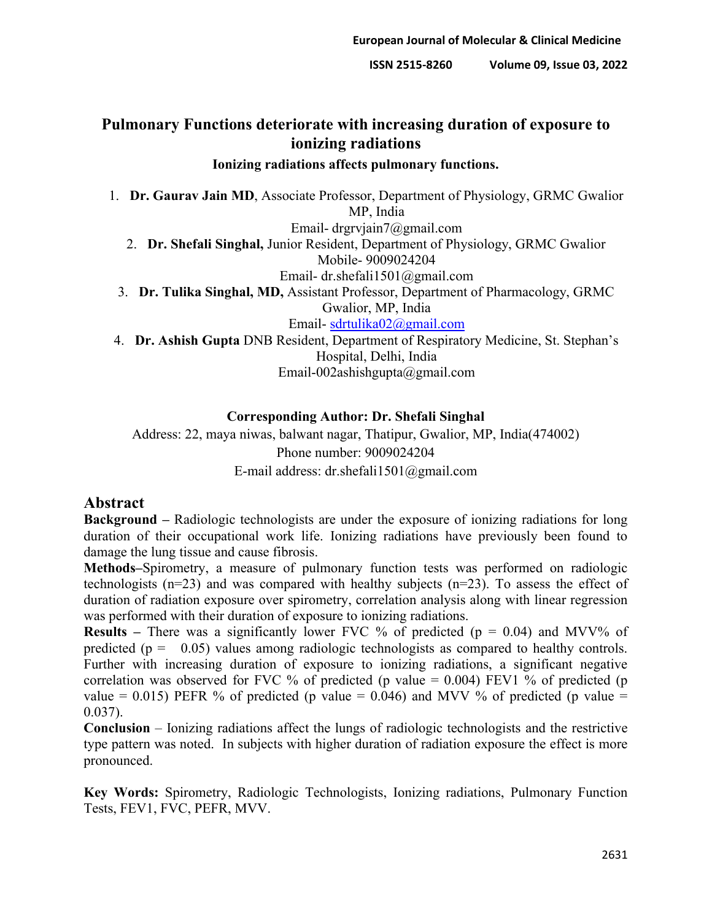# **Pulmonary Functions deteriorate with increasing duration of exposure to ionizing radiations**

### **Ionizing radiations affects pulmonary functions.**

1. **Dr. Gaurav Jain MD**, Associate Professor, Department of Physiology, GRMC Gwalior MP, India

Email- drgrvjain7@gmail.com

2. **Dr. Shefali Singhal,** Junior Resident, Department of Physiology, GRMC Gwalior Mobile- 9009024204

Email- dr.shefali1501@gmail.com

3. **Dr. Tulika Singhal, MD,** Assistant Professor, Department of Pharmacology, GRMC Gwalior, MP, India

Email- [sdrtulika02@gmail.com](mailto:sdrtulika02@gmail.com)

4. **Dr. Ashish Gupta** DNB Resident, Department of Respiratory Medicine, St. Stephan's Hospital, Delhi, India Email-002ashishgupta@gmail.com

### **Corresponding Author: Dr. Shefali Singhal**

Address: 22, maya niwas, balwant nagar, Thatipur, Gwalior, MP, India(474002) Phone number: 9009024204 E-mail address: dr.shefali1501@gmail.com

## **Abstract**

**Background –** Radiologic technologists are under the exposure of ionizing radiations for long duration of their occupational work life. Ionizing radiations have previously been found to damage the lung tissue and cause fibrosis.

**Methods–**Spirometry, a measure of pulmonary function tests was performed on radiologic technologists  $(n=23)$  and was compared with healthy subjects  $(n=23)$ . To assess the effect of duration of radiation exposure over spirometry, correlation analysis along with linear regression was performed with their duration of exposure to ionizing radiations.

**Results** – There was a significantly lower FVC % of predicted (p = 0.04) and MVV% of predicted ( $p = 0.05$ ) values among radiologic technologists as compared to healthy controls. Further with increasing duration of exposure to ionizing radiations, a significant negative correlation was observed for FVC % of predicted (p value =  $0.004$ ) FEV1 % of predicted (p value = 0.015) PEFR % of predicted (p value = 0.046) and MVV % of predicted (p value = 0.037).

**Conclusion** – Ionizing radiations affect the lungs of radiologic technologists and the restrictive type pattern was noted. In subjects with higher duration of radiation exposure the effect is more pronounced.

**Key Words:** Spirometry, Radiologic Technologists, Ionizing radiations, Pulmonary Function Tests, FEV1, FVC, PEFR, MVV.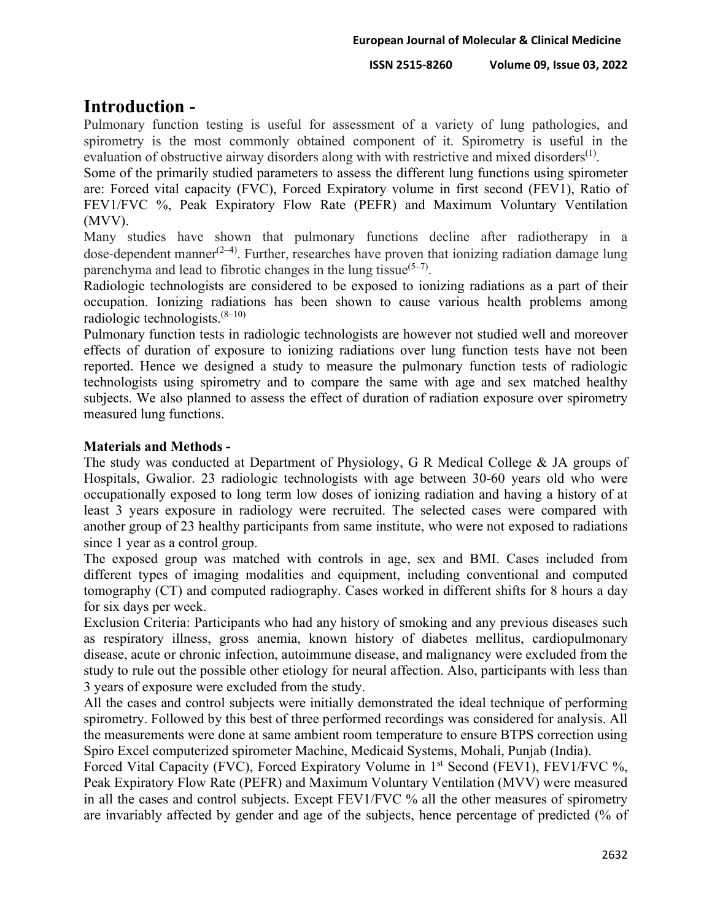# **Introduction -**

Pulmonary function testing is useful for assessment of a variety of lung pathologies, and spirometry is the most commonly obtained component of it. Spirometry is useful in the evaluation of obstructive airway disorders along with with restrictive and mixed disorders<sup>(1)</sup>.

Some of the primarily studied parameters to assess the different lung functions using spirometer are: Forced vital capacity (FVC), Forced Expiratory volume in first second (FEV1), Ratio of FEV1/FVC %, Peak Expiratory Flow Rate (PEFR) and Maximum Voluntary Ventilation (MVV).

Many studies have shown that pulmonary functions decline after radiotherapy in a dose-dependent manner<sup>(2-4)</sup>. Further, researches have proven that ionizing radiation damage lung parenchyma and lead to fibrotic changes in the lung tissue<sup>(5–7)</sup>.

Radiologic technologists are considered to be exposed to ionizing radiations as a part of their occupation. Ionizing radiations has been shown to cause various health problems among radiologic technologists. $(8-10)$ 

Pulmonary function tests in radiologic technologists are however not studied well and moreover effects of duration of exposure to ionizing radiations over lung function tests have not been reported. Hence we designed a study to measure the pulmonary function tests of radiologic technologists using spirometry and to compare the same with age and sex matched healthy subjects. We also planned to assess the effect of duration of radiation exposure over spirometry measured lung functions.

## **Materials and Methods -**

The study was conducted at Department of Physiology, G R Medical College & JA groups of Hospitals, Gwalior. 23 radiologic technologists with age between 30-60 years old who were occupationally exposed to long term low doses of ionizing radiation and having a history of at least 3 years exposure in radiology were recruited. The selected cases were compared with another group of 23 healthy participants from same institute, who were not exposed to radiations since 1 year as a control group.

The exposed group was matched with controls in age, sex and BMI. Cases included from different types of imaging modalities and equipment, including conventional and computed tomography (CT) and computed radiography. Cases worked in different shifts for 8 hours a day for six days per week.

Exclusion Criteria: Participants who had any history of smoking and any previous diseases such as respiratory illness, gross anemia, known history of diabetes mellitus, cardiopulmonary disease, acute or chronic infection, autoimmune disease, and malignancy were excluded from the study to rule out the possible other etiology for neural affection. Also, participants with less than 3 years of exposure were excluded from the study.

All the cases and control subjects were initially demonstrated the ideal technique of performing spirometry. Followed by this best of three performed recordings was considered for analysis. All the measurements were done at same ambient room temperature to ensure BTPS correction using Spiro Excel computerized spirometer Machine, Medicaid Systems, Mohali, Punjab (India).

Forced Vital Capacity (FVC), Forced Expiratory Volume in 1<sup>st</sup> Second (FEV1), FEV1/FVC %, Peak Expiratory Flow Rate (PEFR) and Maximum Voluntary Ventilation (MVV) were measured in all the cases and control subjects. Except FEV1/FVC % all the other measures of spirometry are invariably affected by gender and age of the subjects, hence percentage of predicted (% of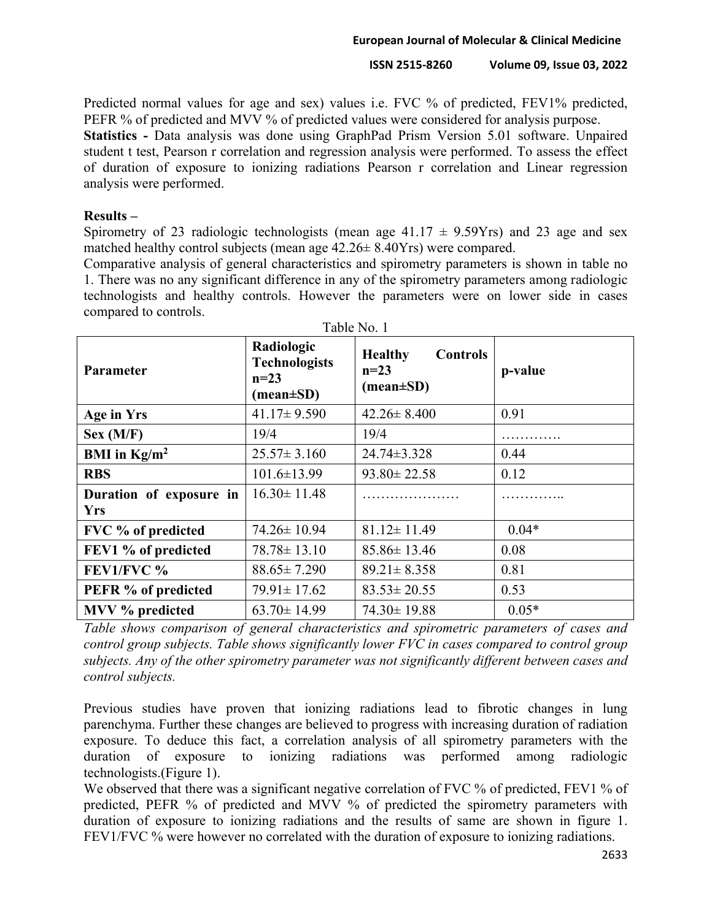Predicted normal values for age and sex) values i.e. FVC % of predicted, FEV1% predicted, PEFR % of predicted and MVV % of predicted values were considered for analysis purpose.

**Statistics -** Data analysis was done using GraphPad Prism Version 5.01 software. Unpaired student t test, Pearson r correlation and regression analysis were performed. To assess the effect of duration of exposure to ionizing radiations Pearson r correlation and Linear regression analysis were performed.

### **Results –**

Spirometry of 23 radiologic technologists (mean age  $41.17 \pm 9.59Yrs$ ) and 23 age and sex matched healthy control subjects (mean age 42.26± 8.40Yrs) were compared.

Comparative analysis of general characteristics and spirometry parameters is shown in table no 1. There was no any significant difference in any of the spirometry parameters among radiologic technologists and healthy controls. However the parameters were on lower side in cases compared to controls.

| <b>Parameter</b>                      | Radiologic<br><b>Technologists</b><br>$n=23$<br>$(\text{mean} \pm \text{SD})$ | <b>Healthy</b><br><b>Controls</b><br>$n=23$<br>$(\text{mean} \pm \text{SD})$ | p-value |
|---------------------------------------|-------------------------------------------------------------------------------|------------------------------------------------------------------------------|---------|
| Age in Yrs                            | $41.17 \pm 9.590$                                                             | $42.26 \pm 8.400$                                                            | 0.91    |
| Sex (M/F)                             | 19/4                                                                          | 19/4                                                                         |         |
| BMI in $Kg/m^2$                       | $25.57 \pm 3.160$                                                             | 24.74±3.328                                                                  | 0.44    |
| <b>RBS</b>                            | $101.6 \pm 13.99$                                                             | $93.80 \pm 22.58$                                                            | 0.12    |
| Duration of exposure in<br><b>Yrs</b> | $16.30 \pm 11.48$                                                             |                                                                              |         |
| FVC % of predicted                    | $74.26 \pm 10.94$                                                             | $81.12 \pm 11.49$                                                            | $0.04*$ |
| FEV1 % of predicted                   | $78.78 \pm 13.10$                                                             | $85.86 \pm 13.46$                                                            | 0.08    |
| FEV1/FVC %                            | $88.65 \pm 7.290$                                                             | $89.21 \pm 8.358$                                                            | 0.81    |
| PEFR % of predicted                   | $79.91 \pm 17.62$                                                             | $83.53 \pm 20.55$                                                            | 0.53    |
| MVV % predicted                       | $63.70 \pm 14.99$                                                             | $74.30 \pm 19.88$                                                            | $0.05*$ |

Table No. 1

*Table shows comparison of general characteristics and spirometric parameters of cases and control group subjects. Table shows significantly lower FVC in cases compared to control group subjects. Any of the other spirometry parameter was not significantly different between cases and control subjects.*

Previous studies have proven that ionizing radiations lead to fibrotic changes in lung parenchyma. Further these changes are believed to progress with increasing duration of radiation exposure. To deduce this fact, a correlation analysis of all spirometry parameters with the duration of exposure to ionizing radiations was performed among radiologic technologists.(Figure 1).

We observed that there was a significant negative correlation of FVC % of predicted, FEV1 % of predicted, PEFR % of predicted and MVV % of predicted the spirometry parameters with duration of exposure to ionizing radiations and the results of same are shown in figure 1. FEV1/FVC % were however no correlated with the duration of exposure to ionizing radiations.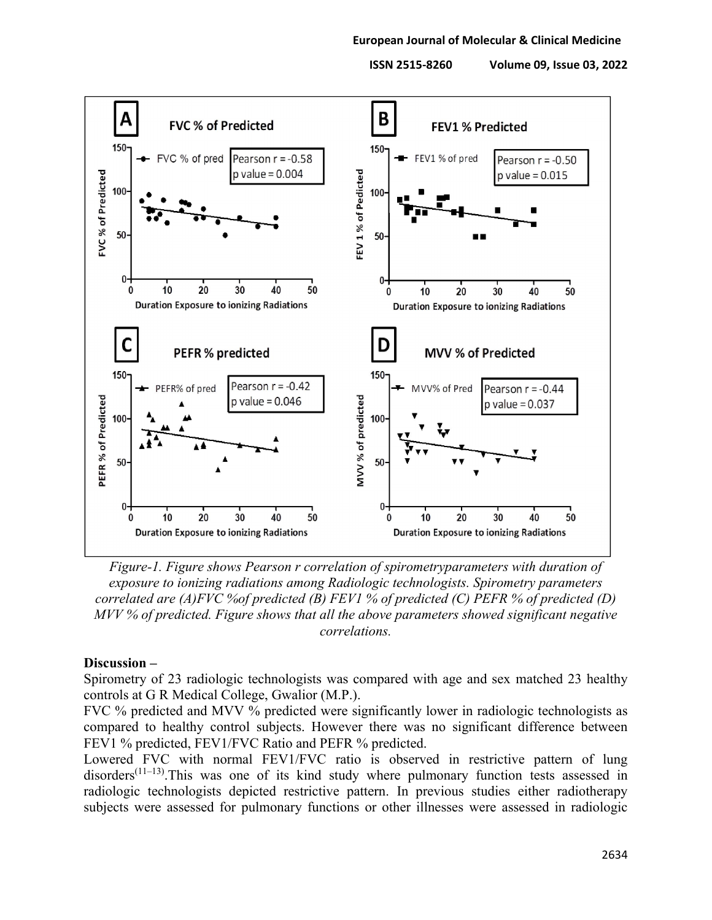

*Figure-1. Figure shows Pearson r correlation of spirometryparameters with duration of exposure to ionizing radiations among Radiologic technologists. Spirometry parameters correlated are (A)FVC %of predicted (B) FEV1 % of predicted (C) PEFR % of predicted (D) MVV % of predicted. Figure shows that all the above parameters showed significant negative correlations.*

#### **Discussion –**

Spirometry of 23 radiologic technologists was compared with age and sex matched 23 healthy controls at G R Medical College, Gwalior (M.P.).

FVC % predicted and MVV % predicted were significantly lower in radiologic technologists as compared to healthy control subjects. However there was no significant difference between FEV1 % predicted, FEV1/FVC Ratio and PEFR % predicted.

Lowered FVC with normal FEV1/FVC ratio is observed in restrictive pattern of lung  $disorders^{(11-13)}$ . This was one of its kind study where pulmonary function tests assessed in radiologic technologists depicted restrictive pattern. In previous studies either radiotherapy subjects were assessed for pulmonary functions or other illnesses were assessed in radiologic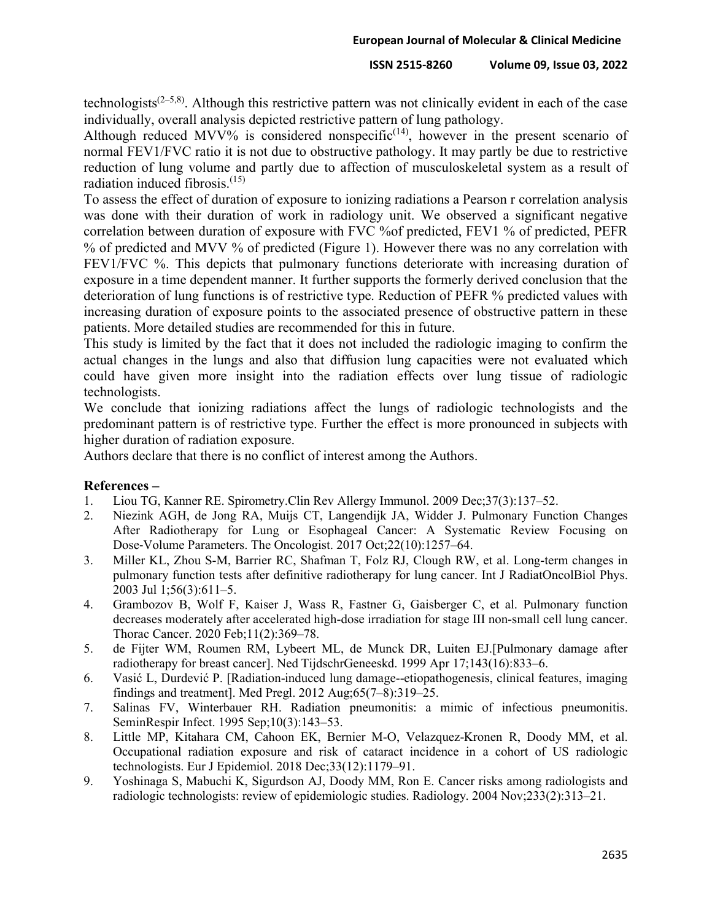technologists<sup> $(2-5,8)$ </sup>. Although this restrictive pattern was not clinically evident in each of the case individually, overall analysis depicted restrictive pattern of lung pathology.

Although reduced MVV% is considered nonspecific<sup> $(14)$ </sup>, however in the present scenario of normal FEV1/FVC ratio it is not due to obstructive pathology. It may partly be due to restrictive reduction of lung volume and partly due to affection of musculoskeletal system as a result of radiation induced fibrosis. $(15)$ 

To assess the effect of duration of exposure to ionizing radiations a Pearson r correlation analysis was done with their duration of work in radiology unit. We observed a significant negative correlation between duration of exposure with FVC %of predicted, FEV1 % of predicted, PEFR % of predicted and MVV % of predicted (Figure 1). However there was no any correlation with FEV1/FVC %. This depicts that pulmonary functions deteriorate with increasing duration of exposure in a time dependent manner. It further supports the formerly derived conclusion that the deterioration of lung functions is of restrictive type. Reduction of PEFR % predicted values with increasing duration of exposure points to the associated presence of obstructive pattern in these patients. More detailed studies are recommended for this in future.

This study is limited by the fact that it does not included the radiologic imaging to confirm the actual changes in the lungs and also that diffusion lung capacities were not evaluated which could have given more insight into the radiation effects over lung tissue of radiologic technologists.

We conclude that ionizing radiations affect the lungs of radiologic technologists and the predominant pattern is of restrictive type. Further the effect is more pronounced in subjects with higher duration of radiation exposure.

Authors declare that there is no conflict of interest among the Authors.

### **References –**

- 1. Liou TG, Kanner RE. Spirometry.Clin Rev Allergy Immunol. 2009 Dec;37(3):137–52.
- 2. Niezink AGH, de Jong RA, Muijs CT, Langendijk JA, Widder J. Pulmonary Function Changes After Radiotherapy for Lung or Esophageal Cancer: A Systematic Review Focusing on Dose-Volume Parameters. The Oncologist. 2017 Oct;22(10):1257–64.
- 3. Miller KL, Zhou S-M, Barrier RC, Shafman T, Folz RJ, Clough RW, et al. Long-term changes in pulmonary function tests after definitive radiotherapy for lung cancer. Int J RadiatOncolBiol Phys. 2003 Jul 1;56(3):611–5.
- 4. Grambozov B, Wolf F, Kaiser J, Wass R, Fastner G, Gaisberger C, et al. Pulmonary function decreases moderately after accelerated high-dose irradiation for stage III non-small cell lung cancer. Thorac Cancer. 2020 Feb;11(2):369–78.
- 5. de Fijter WM, Roumen RM, Lybeert ML, de Munck DR, Luiten EJ.[Pulmonary damage after radiotherapy for breast cancer]. Ned TijdschrGeneeskd. 1999 Apr 17;143(16):833–6.
- 6. Vasić L, Durdević P. [Radiation-induced lung damage--etiopathogenesis, clinical features, imaging findings and treatment]. Med Pregl. 2012 Aug;65(7–8):319–25.
- 7. Salinas FV, Winterbauer RH. Radiation pneumonitis: a mimic of infectious pneumonitis. SeminRespir Infect. 1995 Sep;10(3):143–53.
- 8. Little MP, Kitahara CM, Cahoon EK, Bernier M-O, Velazquez-Kronen R, Doody MM, et al. Occupational radiation exposure and risk of cataract incidence in a cohort of US radiologic technologists. Eur J Epidemiol. 2018 Dec;33(12):1179–91.
- 9. Yoshinaga S, Mabuchi K, Sigurdson AJ, Doody MM, Ron E. Cancer risks among radiologists and radiologic technologists: review of epidemiologic studies. Radiology. 2004 Nov;233(2):313–21.